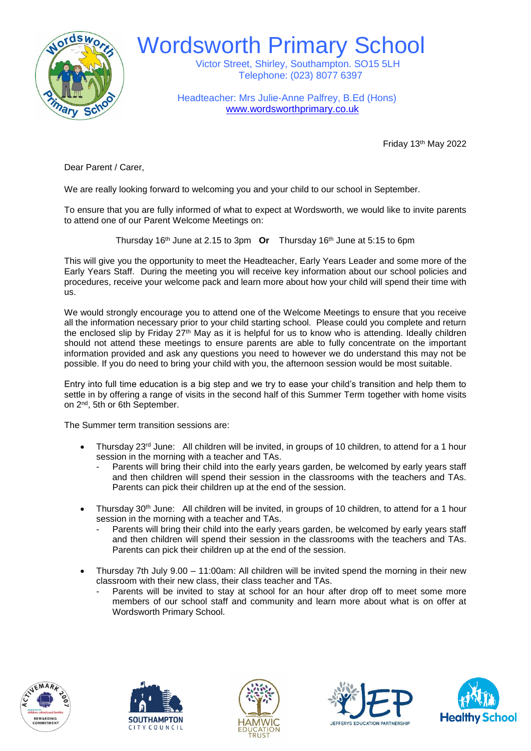

Wordsworth Primary School

 Victor Street, Shirley, Southampton. SO15 5LH Telephone: (023) 8077 6397

 Headteacher: Mrs Julie-Anne Palfrey, B.Ed (Hons) [www.wordsworthprimary.co.uk](http://www.wordsworthprimary.co.uk/)

Friday 13th May 2022

Dear Parent / Carer,

We are really looking forward to welcoming you and your child to our school in September.

To ensure that you are fully informed of what to expect at Wordsworth, we would like to invite parents to attend one of our Parent Welcome Meetings on:

Thursday 16th June at 2.15 to 3pm **Or** Thursday 16th June at 5:15 to 6pm

This will give you the opportunity to meet the Headteacher, Early Years Leader and some more of the Early Years Staff. During the meeting you will receive key information about our school policies and procedures, receive your welcome pack and learn more about how your child will spend their time with us.

We would strongly encourage you to attend one of the Welcome Meetings to ensure that you receive all the information necessary prior to your child starting school. Please could you complete and return the enclosed slip by Friday 27<sup>th</sup> May as it is helpful for us to know who is attending. Ideally children should not attend these meetings to ensure parents are able to fully concentrate on the important information provided and ask any questions you need to however we do understand this may not be possible. If you do need to bring your child with you, the afternoon session would be most suitable.

Entry into full time education is a big step and we try to ease your child's transition and help them to settle in by offering a range of visits in the second half of this Summer Term together with home visits on 2nd, 5th or 6th September.

The Summer term transition sessions are:

- Thursday 23<sup>rd</sup> June: All children will be invited, in groups of 10 children, to attend for a 1 hour session in the morning with a teacher and TAs.
	- Parents will bring their child into the early years garden, be welcomed by early years staff and then children will spend their session in the classrooms with the teachers and TAs. Parents can pick their children up at the end of the session.
- Thursday 30<sup>th</sup> June: All children will be invited, in groups of 10 children, to attend for a 1 hour session in the morning with a teacher and TAs.
	- Parents will bring their child into the early years garden, be welcomed by early years staff and then children will spend their session in the classrooms with the teachers and TAs. Parents can pick their children up at the end of the session.
- Thursday 7th July 9.00 11:00am: All children will be invited spend the morning in their new classroom with their new class, their class teacher and TAs.
	- Parents will be invited to stay at school for an hour after drop off to meet some more members of our school staff and community and learn more about what is on offer at Wordsworth Primary School.